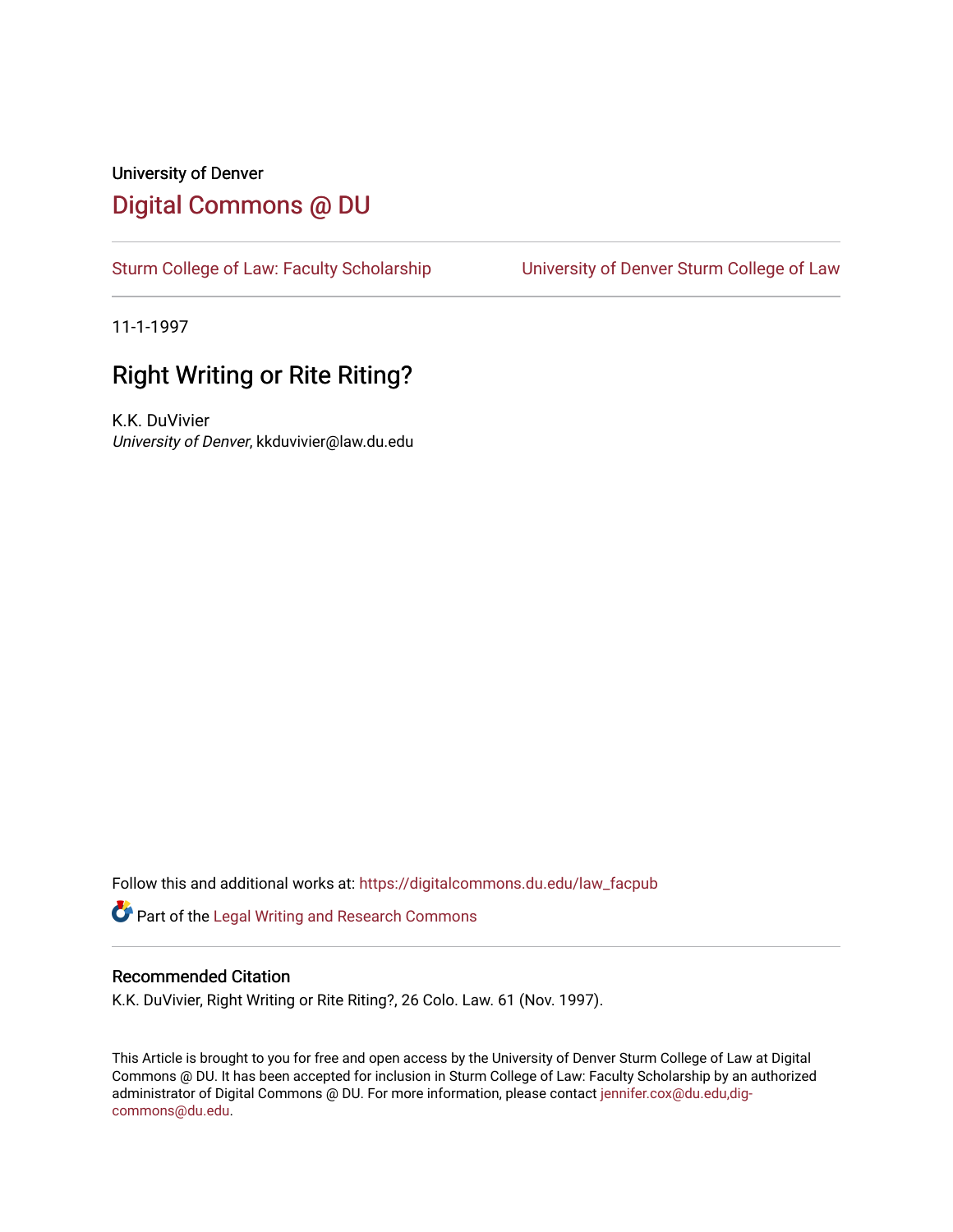## University of Denver [Digital Commons @ DU](https://digitalcommons.du.edu/)

[Sturm College of Law: Faculty Scholarship](https://digitalcommons.du.edu/law_facpub) [University of Denver Sturm College of Law](https://digitalcommons.du.edu/denver_law) 

11-1-1997

# Right Writing or Rite Riting?

K.K. DuVivier University of Denver, kkduvivier@law.du.edu

Follow this and additional works at: [https://digitalcommons.du.edu/law\\_facpub](https://digitalcommons.du.edu/law_facpub?utm_source=digitalcommons.du.edu%2Flaw_facpub%2F372&utm_medium=PDF&utm_campaign=PDFCoverPages) 

Part of the [Legal Writing and Research Commons](http://network.bepress.com/hgg/discipline/614?utm_source=digitalcommons.du.edu%2Flaw_facpub%2F372&utm_medium=PDF&utm_campaign=PDFCoverPages) 

#### Recommended Citation

K.K. DuVivier, Right Writing or Rite Riting?, 26 Colo. Law. 61 (Nov. 1997).

This Article is brought to you for free and open access by the University of Denver Sturm College of Law at Digital Commons @ DU. It has been accepted for inclusion in Sturm College of Law: Faculty Scholarship by an authorized administrator of Digital Commons @ DU. For more information, please contact [jennifer.cox@du.edu,dig](mailto:jennifer.cox@du.edu,dig-commons@du.edu)[commons@du.edu.](mailto:jennifer.cox@du.edu,dig-commons@du.edu)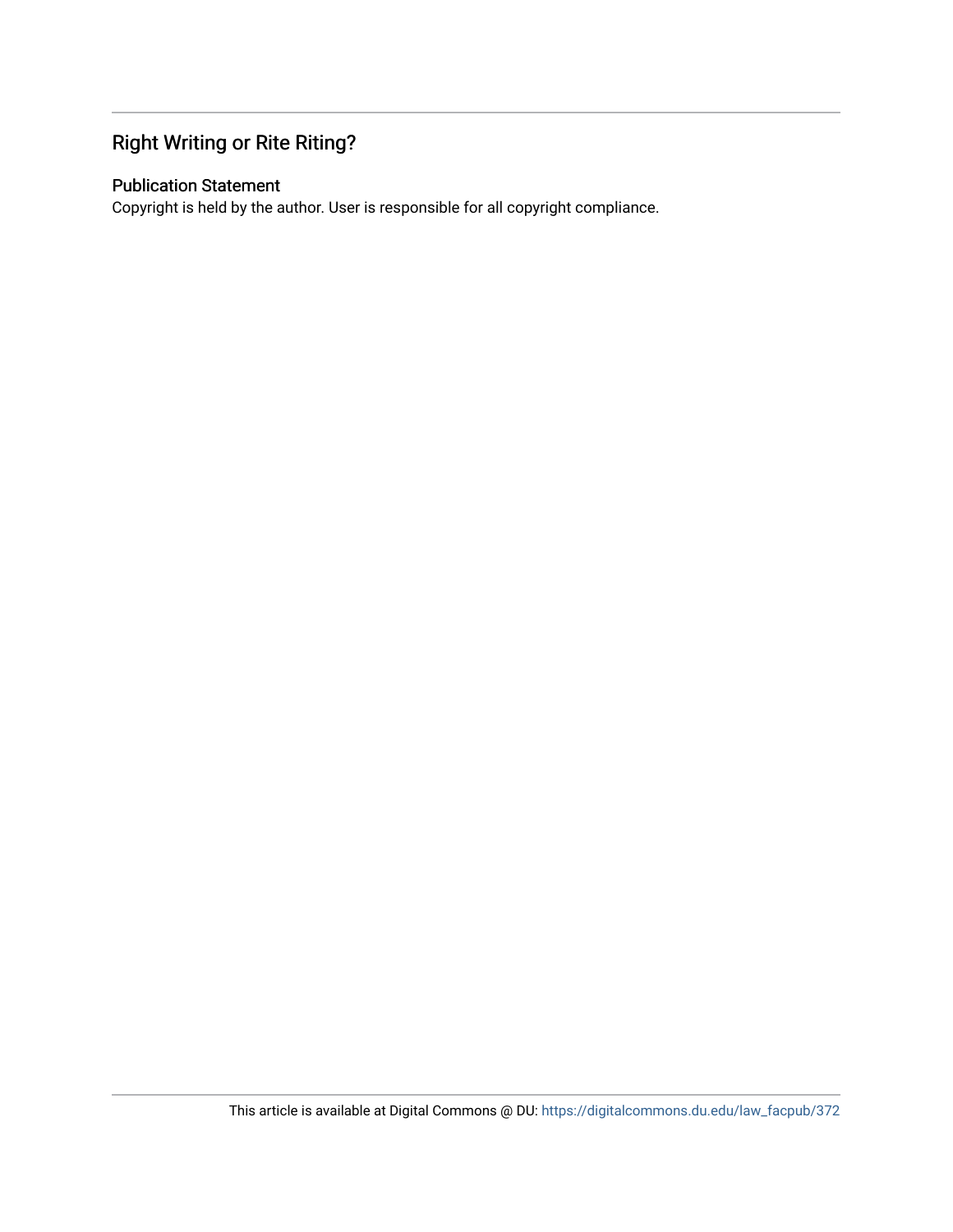### Right Writing or Rite Riting?

### Publication Statement

Copyright is held by the author. User is responsible for all copyright compliance.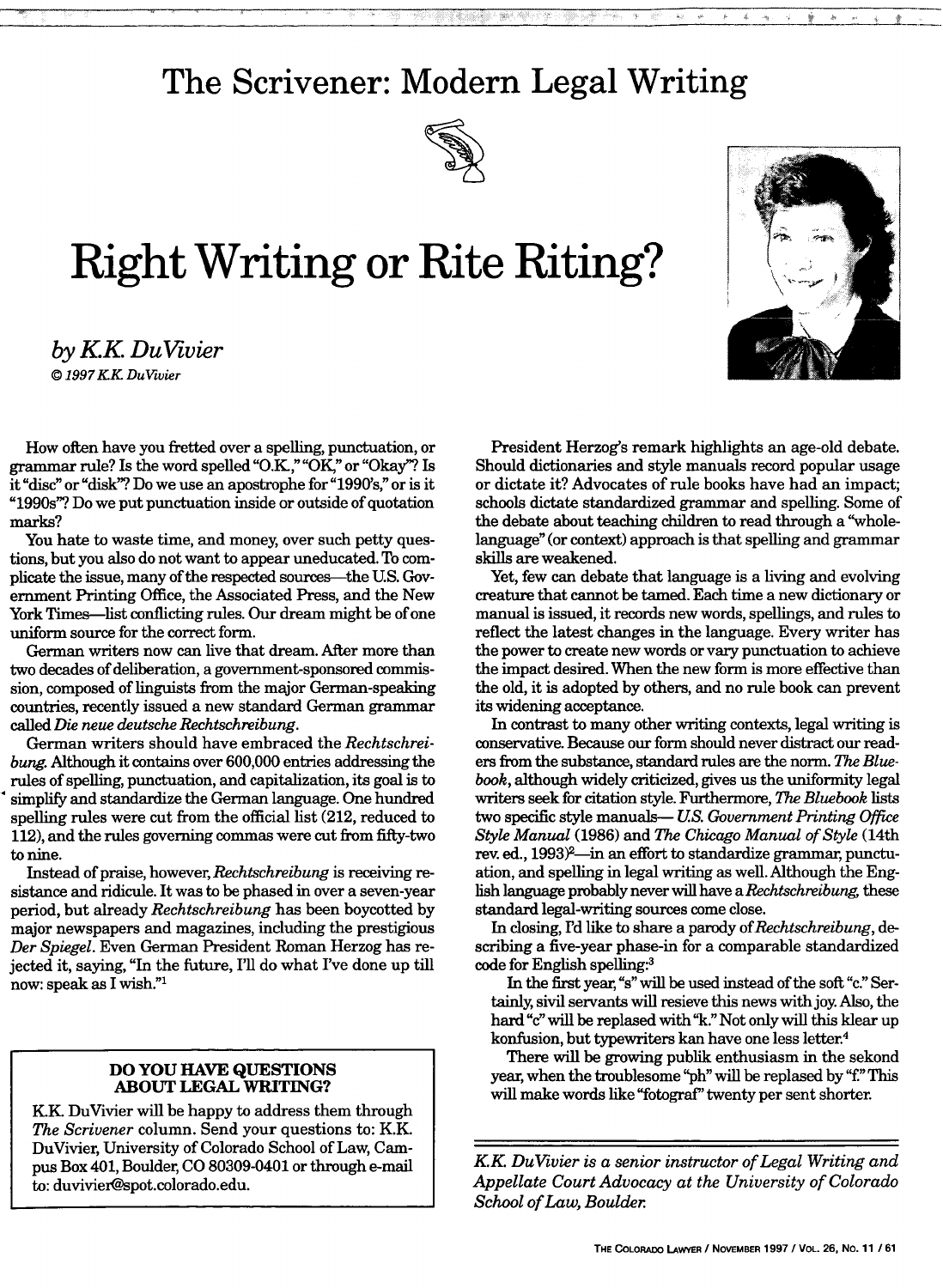# **The Scrivener: Modern Legal Writing**

i . .. .. . .. .. .. .. i~i ! ! ii !!i~ ~ii!!iiiiiiiii~ ~iiiiii~iiiiii~i!iiiiiii ! i ! ii~i! i i~ iiiiiiiii ~~' <sup>i</sup> o ..



# **Right Writing or Rite Riting?**

*by KK DuVivier I © 1997 KK Dutvier*



How often have you fretted over a spelling, punctuation, or grammar rule? Is the word spelled "O.K.," "OK," or "Okay"? Is it"disc" or "disk"? Do we use an apostrophe for "1990's," or is it "1990s"? Do we put punctuation inside or outside of quotation marks?

You hate to waste time, and money, over such petty questions, but you also do not want to appear uneducated. To complicate the issue, many of the respected sources-the U.S. Government Printing Office, the Associated Press, and the New York Times—list conflicting rules. Our dream might be of one uniform source for the correct form.

German writers now can live that dream. After more than two decades of deliberation, a government-sponsored commission, composed of linguists from the major German-speaking countries, recently issued a new standard German grammar called *Die neue deutsche Rechtschreibung.*

German writers should have embraced the *Rechtschreibung.* Although it contains over 600,000 entries addressing the rules of spelling, punctuation, and capitalization, its goal is to simplify and standardize the German language. One hundred spelling rules were cut from the official list (212, reduced to 112), and the rules governing commas were cut from fifty-two to nine.

Instead of praise, however, *Rechtschreibung* is receiving resistance and ridicule. It was to be phased in over a seven-year period, but already *Rechtschreibung* has been boycotted by major newspapers and magazines, including the prestigious *Der Spiegel.* Even German President Roman Herzog has rejected it, saying, "In the future, I'll do what I've done up till now: speak as I wish."1

#### **DO YOU HAVE QUESTIONS ABOUT LEGAL WRITING?**

**KK.** DuVivier will be happy to address them through *The Scrivener* column. Send your questions to: K.K. DuVivier, University of Colorado School of Law, Cam**pus** Box 401, Boulder, **CO 80309-0401** or through e-mail to: duvivier@spot.colorado.edu.

President Herzog's remark highlights an age-old debate. Should dictionaries and style manuals record popular usage or dictate it? Advocates of rule books have had an impact; schools dictate standardized grammar and spelling. Some of the debate about teaching children to read through a "wholelanguage" (or context) approach is that spelling and grammar skills are weakened.

Yet, few can debate that language is a living and evolving creature that cannot be tamed. Each time a new dictionary or manual is issued, it records new words, spellings, and rules to reflect the latest changes in the language. Every writer has the power to create new words or vary punctuation to achieve the impact desired. When the new form is more effective than the old, it is adopted by others, and no rule book can prevent its widening acceptance.

In contrast to many other writing contexts, legal writing is conservative. Because our form should never distract our readers from the substance, standard rules are the norm. *The Bluebook,* although widely criticized, gives us the uniformity legal writers seek for citation style. Furthermore, *The Bluebook* lists two specific style manuals-- *US. Government Printing Office Style Manual* (1986) and *The Chicago Manual of Style* (14th rev. ed., 1993)<sup>2</sup>—in an effort to standardize grammar, punctuation, and spelling in legal writing as well. Although the English language probably never will have *aRechtschreibung* these standard legal-writing sources come close.

In closing, I'd like to share a parody *of Rechtschreibung, de*scribing a five-year phase-in for a comparable standardized code for English spelling:3

In the first year,"s" will be used instead of the soft "c." Sertainly, sivil servants will resieve this news with joy Also, the hard **"c"** will be replased with "k." Not only will this klear up konfusion, but typewriters kan have one less letter.4

There will be growing publik enthusiasm in the sekond year, when the troublesome "ph" will be replased by "f." This will make words like"fotograf'" twenty per sent shorter.

*KK DuVivier is a senior instructor of Legal Writing and Appellate Court Advocacy at the University of Colorado School of Law, Boulder*